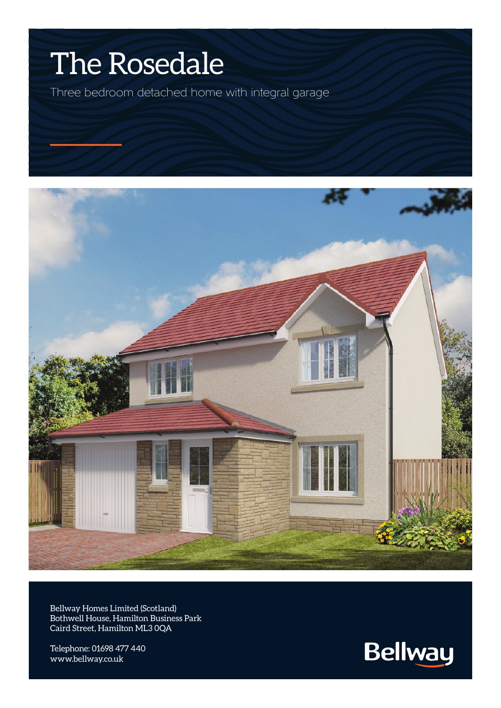## The Rosedale

Three bedroom detached home with integral garage



Bellway Homes Limited (Scotland) Bothwell House, Hamilton Business Park Caird Street, Hamilton ML3 0QA

Telephone: 01698 477 440 www.bellway.co.uk